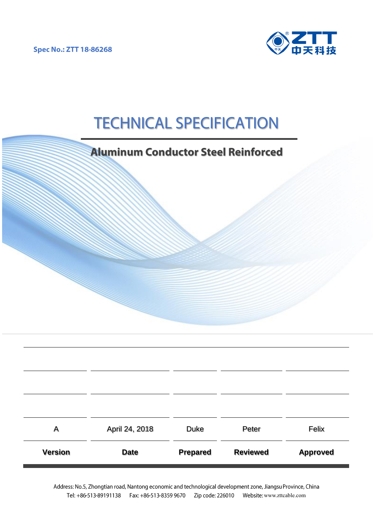**Spec No.: ZTT 18-86268** 



# **TECHNICAL SPECIFICATION**

|                | <b>Aluminum Conductor Steel Reinforced</b> |                 |                 |                 |  |  |
|----------------|--------------------------------------------|-----------------|-----------------|-----------------|--|--|
|                |                                            |                 |                 |                 |  |  |
|                |                                            |                 |                 |                 |  |  |
| A              | April 24, 2018                             | <b>Duke</b>     | Peter           | Felix           |  |  |
| <b>Version</b> | <b>Date</b>                                | <b>Prepared</b> | <b>Reviewed</b> | <b>Approved</b> |  |  |

Address: No.5, Zhongtian road, Nantong economic and technological development zone, Jiangsu Province, China Tel: +86-513-89191138 Fax: +86-513-8359 9670 Zip code: 226010 Website: [www.zttcable.com](http://www.zttcable.com/)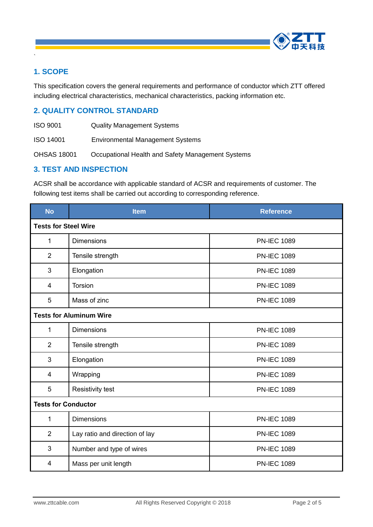

## **1. SCOPE**

`

This specification covers the general requirements and performance of conductor which ZTT offered including electrical characteristics, mechanical characteristics, packing information etc.

#### **2. QUALITY CONTROL STANDARD**

- ISO 9001 Quality Management Systems
- ISO 14001 Environmental Management Systems

OHSAS 18001 Occupational Health and Safety Management Systems

#### **3. TEST AND INSPECTION**

ACSR shall be accordance with applicable standard of ACSR and requirements of customer. The following test items shall be carried out according to corresponding reference.

| <b>No</b>                      | <b>Item</b>                    | <b>Reference</b>   |  |  |
|--------------------------------|--------------------------------|--------------------|--|--|
| <b>Tests for Steel Wire</b>    |                                |                    |  |  |
| $\mathbf{1}$                   | <b>Dimensions</b>              | <b>PN-IEC 1089</b> |  |  |
| $\overline{2}$                 | Tensile strength               | <b>PN-IEC 1089</b> |  |  |
| 3                              | Elongation                     | <b>PN-IEC 1089</b> |  |  |
| 4                              | <b>Torsion</b>                 | <b>PN-IEC 1089</b> |  |  |
| 5                              | Mass of zinc                   | <b>PN-IEC 1089</b> |  |  |
| <b>Tests for Aluminum Wire</b> |                                |                    |  |  |
| 1                              | <b>Dimensions</b>              | <b>PN-IEC 1089</b> |  |  |
| $\overline{2}$                 | Tensile strength               | <b>PN-IEC 1089</b> |  |  |
| 3                              | Elongation                     | <b>PN-IEC 1089</b> |  |  |
| 4                              | Wrapping                       | <b>PN-IEC 1089</b> |  |  |
| 5                              | <b>Resistivity test</b>        | <b>PN-IEC 1089</b> |  |  |
| <b>Tests for Conductor</b>     |                                |                    |  |  |
| $\mathbf{1}$                   | <b>Dimensions</b>              | <b>PN-IEC 1089</b> |  |  |
| $\overline{2}$                 | Lay ratio and direction of lay | <b>PN-IEC 1089</b> |  |  |
| 3                              | Number and type of wires       | <b>PN-IEC 1089</b> |  |  |
| 4                              | Mass per unit length           | <b>PN-IEC 1089</b> |  |  |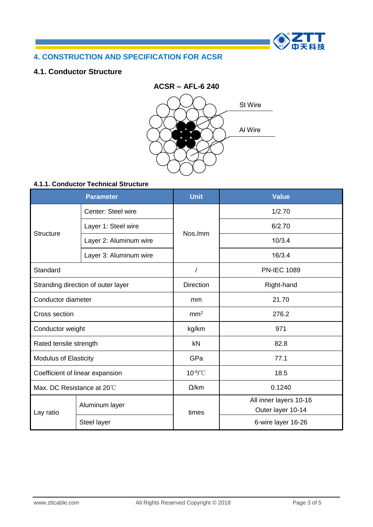

# **4. CONSTRUCTION AND SPECIFICATION FOR ACSR**

#### **4.1. Conductor Structure**



#### **4.1.1. Conductor Technical Structure**

| <b>Parameter</b>                   |                              | <b>Unit</b>      | <b>Value</b>                                |  |  |
|------------------------------------|------------------------------|------------------|---------------------------------------------|--|--|
|                                    | Center: Steel wire           |                  | 1/2.70                                      |  |  |
| <b>Structure</b>                   | Layer 1: Steel wire          | Nos./mm          | 6/2.70                                      |  |  |
|                                    | Layer 2: Aluminum wire       |                  | 10/3.4                                      |  |  |
|                                    | Layer 3: Aluminum wire       |                  | 16/3.4                                      |  |  |
| Standard                           |                              |                  | <b>PN-IEC 1089</b>                          |  |  |
| Stranding direction of outer layer |                              | <b>Direction</b> | Right-hand                                  |  |  |
| Conductor diameter                 |                              | mm               | 21.70                                       |  |  |
| Cross section                      |                              | mm <sup>2</sup>  | 276.2                                       |  |  |
| Conductor weight                   |                              | kg/km            | 971                                         |  |  |
| Rated tensile strength             |                              | kN               | 82.8                                        |  |  |
|                                    | <b>Modulus of Elasticity</b> |                  | 77.1                                        |  |  |
| Coefficient of linear expansion    |                              | $10^{-6}$ /°C    | 18.5                                        |  |  |
|                                    | Max. DC Resistance at 20°C   |                  | 0.1240                                      |  |  |
| Lay ratio                          | Aluminum layer               | times            | All inner layers 10-16<br>Outer layer 10-14 |  |  |
|                                    | Steel layer                  |                  | 6-wire layer 16-26                          |  |  |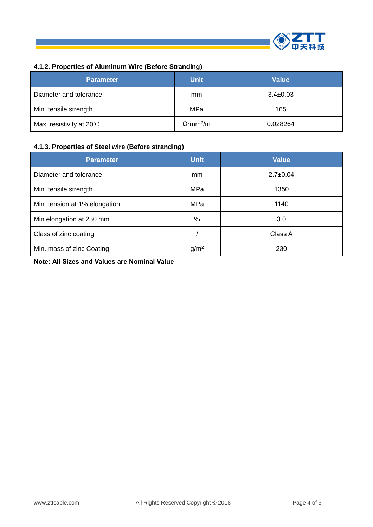

# **4.1.2. Properties of Aluminum Wire (Before Stranding)**

| <b>Parameter</b>                 | <b>Unit</b>                  | <b>Value</b>   |
|----------------------------------|------------------------------|----------------|
| Diameter and tolerance           | <sub>mm</sub>                | $3.4 \pm 0.03$ |
| Min. tensile strength            | MPa                          | 165            |
| Max. resistivity at $20^{\circ}$ | $\Omega$ ·mm <sup>2</sup> /m | 0.028264       |

#### **4.1.3. Properties of Steel wire (Before stranding)**

| <b>Parameter</b>              | <b>Unit</b>      | <b>Value</b>   |
|-------------------------------|------------------|----------------|
| Diameter and tolerance        | mm               | $2.7 \pm 0.04$ |
| Min. tensile strength         | MPa              | 1350           |
| Min. tension at 1% elongation | MPa              | 1140           |
| Min elongation at 250 mm      | %                | 3.0            |
| Class of zinc coating         |                  | Class A        |
| Min. mass of zinc Coating     | g/m <sup>2</sup> | 230            |

**Note: All Sizes and Values are Nominal Value**